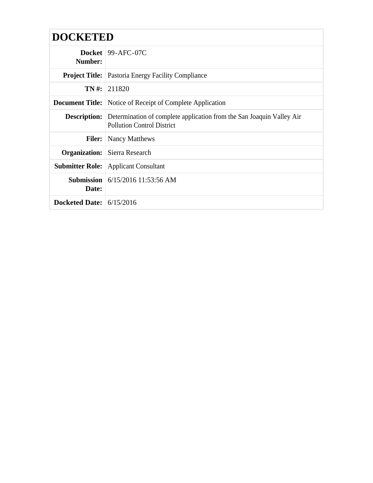| <b>DOCKETED</b>            |                                                                                                                                |
|----------------------------|--------------------------------------------------------------------------------------------------------------------------------|
| Number:                    | Docket   $99-$ AFC-07C                                                                                                         |
|                            | <b>Project Title:</b>   Pastoria Energy Facility Compliance                                                                    |
|                            | $TN \#: 211820$                                                                                                                |
|                            | <b>Document Title:</b> Notice of Receipt of Complete Application                                                               |
|                            | <b>Description:</b> Determination of complete application from the San Joaquin Valley Air<br><b>Pollution Control District</b> |
| <b>Filer:</b>              | <b>Nancy Matthews</b>                                                                                                          |
|                            | <b>Organization:</b> Sierra Research                                                                                           |
| <b>Submitter Role:</b>     | <b>Applicant Consultant</b>                                                                                                    |
| Date:                      | <b>Submission</b> $6/15/2016$ 11:53:56 AM                                                                                      |
| Docketed Date: $6/15/2016$ |                                                                                                                                |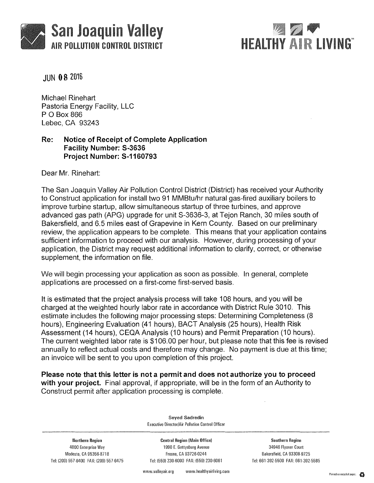



JUN 08 2016

Michael Rinehart Pastoria Energy Facility, LLC P 0 Box 866 Lebec, CA 93243

## **Re: Notice of Receipt of Complete Application Facility Number: S-3636 Project Number: S-1160793**

Dear Mr. Rinehart:

The San Joaquin Valley Air Pollution Control District (District) has received your Authority to Construct application for install two 91 MMBtu/hr natural gas-fired auxiliary boilers to improve turbine startup, allow simultaneous startup of three turbines, and approve advanced gas path (APG) upgrade for unit S-3636-3, at Tejon Ranch, 30 miles south of Bakersfield, and 6.5 miles east of Grapevine in Kern County. Based on our preliminary review, the application appears to be complete. This means that your application contains sufficient information to proceed with our analysis. However, during processing of your application, the District may request additional information to clarify, correct, or otherwise supplement, the information on file.

We will begin processing your application as soon as possible. In general, complete applications are processed on a first-come first-served basis.

It is estimated that the project analysis process will take 108 hours, and you will be charged at the weighted hourly labor rate in accordance with District Rule 3010. This estimate includes the following major processing steps: Determining Completeness (8 hours), Engineering Evaluation (41 hours), BACT Analysis (25 hours), Health Risk Assessment (14 hours), CEQA Analysis (10 hours) and Permit Preparation (10 hours). The current weighted labor rate is \$106.00 per hour, but please note that this fee is revised annually to reflect actual costs and therefore may change. No payment is due at this time; an invoice will be sent to you upon completion of this project.

**Please note that this letter is not a permit and does not authorize you to proceed with your project.** Final approval, if appropriate, will be in the form of an Authority to Construct permit after application processing is complete.

Northern Region 4800 Enterprise Way Modesto, CA 95356-8718 Tel: 1209) 557-6400 FAX: 12091557-6475

Seyed Sadredin Executive Director/Air Pollution Control Officer

Central Region (Main Office) 1990 E. Gettysburg Avenue Fresno, CA 93726·0244 Tel: 1559) 230-6000 FAX: 1559) 230-6061

Southern Region 34946 Flyover Court Bakersfield, CA 93308-9725 Tel: 661-392-5500 FAX: 661-392-5585

www.valleyair.org www.healthyairliving.com